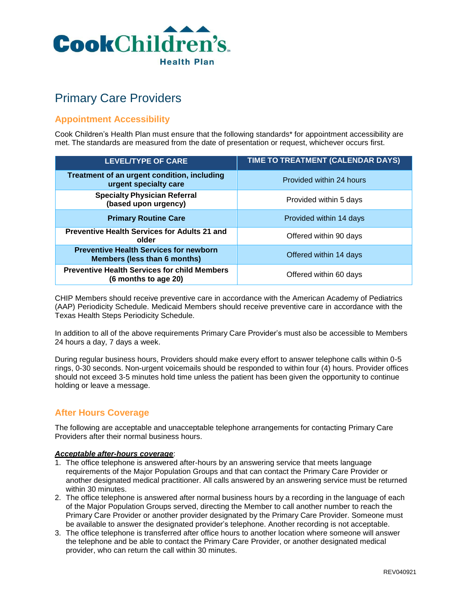

# Primary Care Providers

# **Appointment Accessibility**

Cook Children's Health Plan must ensure that the following standards\* for appointment accessibility are met. The standards are measured from the date of presentation or request, whichever occurs first.

| <b>LEVEL/TYPE OF CARE</b>                                                     | TIME TO TREATMENT (CALENDAR DAYS) |
|-------------------------------------------------------------------------------|-----------------------------------|
| Treatment of an urgent condition, including<br>urgent specialty care          | Provided within 24 hours          |
| <b>Specialty Physician Referral</b><br>(based upon urgency)                   | Provided within 5 days            |
| <b>Primary Routine Care</b>                                                   | Provided within 14 days           |
| <b>Preventive Health Services for Adults 21 and</b><br>older                  | Offered within 90 days            |
| <b>Preventive Health Services for newborn</b><br>Members (less than 6 months) | Offered within 14 days            |
| <b>Preventive Health Services for child Members</b><br>(6 months to age 20)   | Offered within 60 days            |

CHIP Members should receive preventive care in accordance with the American Academy of Pediatrics (AAP) Periodicity Schedule. Medicaid Members should receive preventive care in accordance with the Texas Health Steps Periodicity Schedule.

In addition to all of the above requirements Primary Care Provider's must also be accessible to Members 24 hours a day, 7 days a week.

During regular business hours, Providers should make every effort to answer telephone calls within 0-5 rings, 0-30 seconds. Non-urgent voicemails should be responded to within four (4) hours. Provider offices should not exceed 3-5 minutes hold time unless the patient has been given the opportunity to continue holding or leave a message.

# **After Hours Coverage**

The following are acceptable and unacceptable telephone arrangements for contacting Primary Care Providers after their normal business hours.

#### *Acceptable after-hours coverage*:

- 1. The office telephone is answered after-hours by an answering service that meets language requirements of the Major Population Groups and that can contact the Primary Care Provider or another designated medical practitioner. All calls answered by an answering service must be returned within 30 minutes.
- 2. The office telephone is answered after normal business hours by a recording in the language of each of the Major Population Groups served, directing the Member to call another number to reach the Primary Care Provider or another provider designated by the Primary Care Provider. Someone must be available to answer the designated provider's telephone. Another recording is not acceptable.
- 3. The office telephone is transferred after office hours to another location where someone will answer the telephone and be able to contact the Primary Care Provider, or another designated medical provider, who can return the call within 30 minutes.